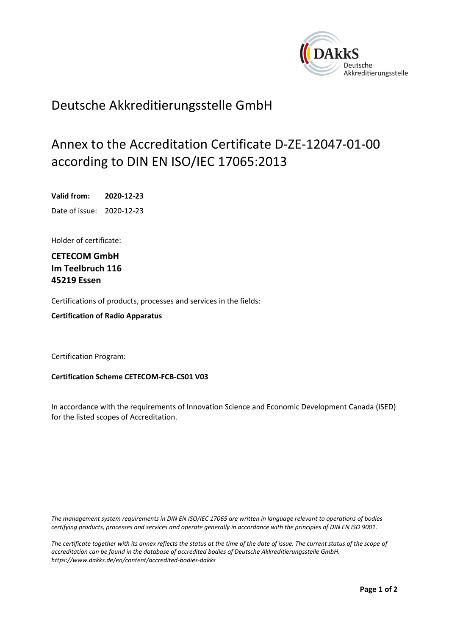<span id="page-0-0"></span>

## Deutsche Akkreditierungsstelle GmbH

## Annex to the Accreditation Certificate D-ZE-12047-01-00 according to DIN EN ISO/IEC 17065:2013

<span id="page-0-2"></span><span id="page-0-1"></span>**Valid from: 2020-12-23** Date of issue: 2020-12-23

Holder of certificate:

**CETECOM GmbH Im Teelbruch 116 45219 Essen**

Certifications of products, processes and services in the fields:

**Certification of Radio Apparatus**

Certification Program:

**Certification Scheme CETECOM-FCB-CS01 V03**

In accordance with the requirements of Innovation Science and Economic Development Canada (ISED) for the listed scopes of Accreditation.

*The management system requirements in DIN EN ISO/IEC 17065 are written in language relevant to operations of bodies certifying products, processes and services and operate generally in accordance with the principles of DIN EN ISO 9001.*

*The certificate together with its annex reflects the status at the time of the date of issue. The current status of the scope of accreditation can be found in the database of accredited bodies of Deutsche Akkreditierungsstelle GmbH. <https://www.dakks.de/en/content/accredited-bodies-dakks>*